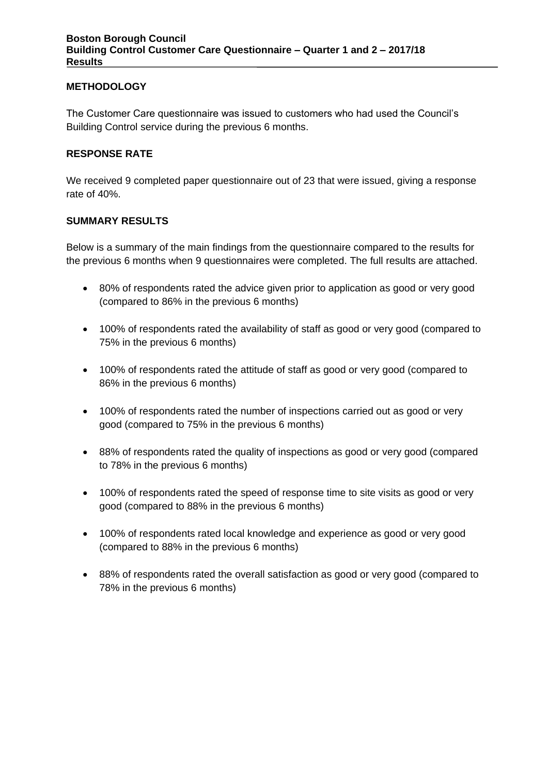### **METHODOLOGY**

The Customer Care questionnaire was issued to customers who had used the Council's Building Control service during the previous 6 months.

#### **RESPONSE RATE**

We received 9 completed paper questionnaire out of 23 that were issued, giving a response rate of 40%.

#### **SUMMARY RESULTS**

Below is a summary of the main findings from the questionnaire compared to the results for the previous 6 months when 9 questionnaires were completed. The full results are attached.

- 80% of respondents rated the advice given prior to application as good or very good (compared to 86% in the previous 6 months)
- 100% of respondents rated the availability of staff as good or very good (compared to 75% in the previous 6 months)
- 100% of respondents rated the attitude of staff as good or very good (compared to 86% in the previous 6 months)
- 100% of respondents rated the number of inspections carried out as good or very good (compared to 75% in the previous 6 months)
- 88% of respondents rated the quality of inspections as good or very good (compared to 78% in the previous 6 months)
- 100% of respondents rated the speed of response time to site visits as good or very good (compared to 88% in the previous 6 months)
- 100% of respondents rated local knowledge and experience as good or very good (compared to 88% in the previous 6 months)
- 88% of respondents rated the overall satisfaction as good or very good (compared to 78% in the previous 6 months)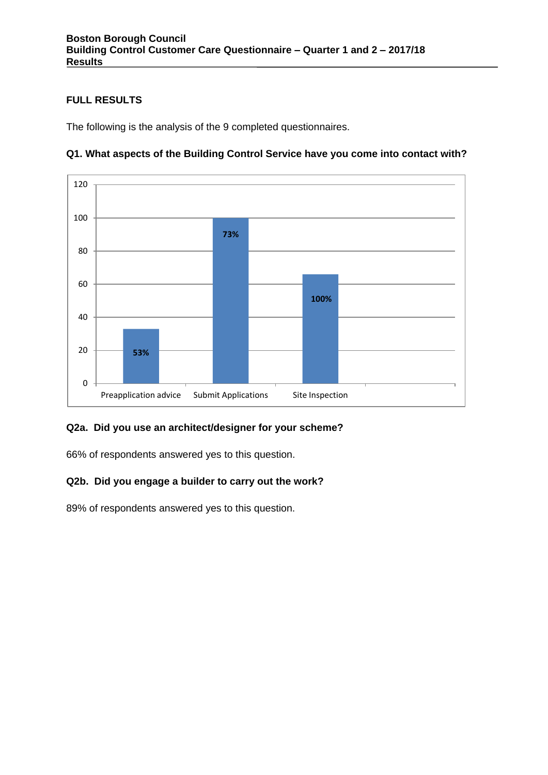## **FULL RESULTS**

The following is the analysis of the 9 completed questionnaires.



# **Q1. What aspects of the Building Control Service have you come into contact with?**

### **Q2a. Did you use an architect/designer for your scheme?**

66% of respondents answered yes to this question.

# **Q2b. Did you engage a builder to carry out the work?**

89% of respondents answered yes to this question.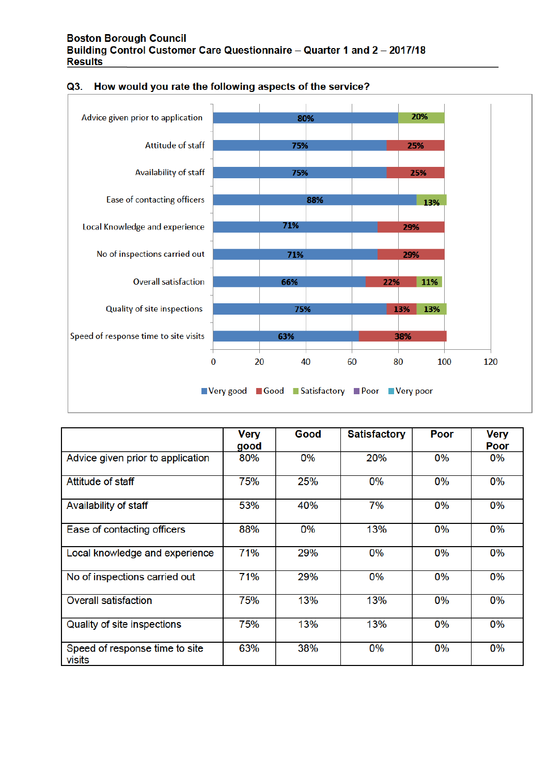

| Q3. How would you rate the following aspects of the service? |  |  |  |
|--------------------------------------------------------------|--|--|--|
|                                                              |  |  |  |

|                                          | <b>Very</b><br>good | Good | <b>Satisfactory</b> | Poor  | <b>Very</b><br>Poor |
|------------------------------------------|---------------------|------|---------------------|-------|---------------------|
| Advice given prior to application        | 80%                 | 0%   | 20%                 | 0%    | 0%                  |
| Attitude of staff                        | 75%                 | 25%  | $0\%$               | 0%    | 0%                  |
| Availability of staff                    | 53%                 | 40%  | 7%                  | 0%    | 0%                  |
| Ease of contacting officers              | 88%                 | 0%   | 13%                 | 0%    | 0%                  |
| Local knowledge and experience           | 71%                 | 29%  | $0\%$               | 0%    | $0\%$               |
| No of inspections carried out            | 71%                 | 29%  | 0%                  | $0\%$ | 0%                  |
| <b>Overall satisfaction</b>              | 75%                 | 13%  | 13%                 | 0%    | 0%                  |
| Quality of site inspections              | 75%                 | 13%  | 13%                 | 0%    | 0%                  |
| Speed of response time to site<br>visits | 63%                 | 38%  | $0\%$               | 0%    | 0%                  |